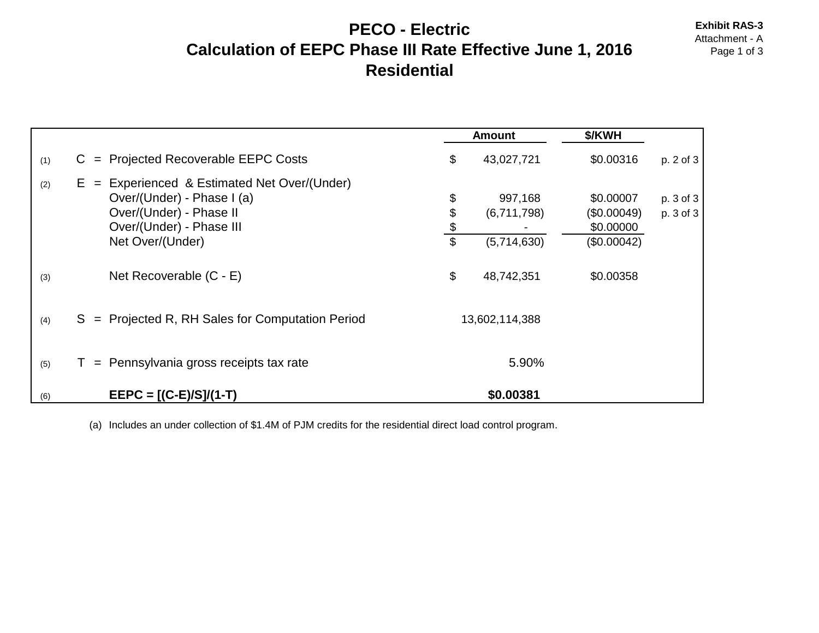#### **PECO - Electric** Exhibit RAS-3<br>Attachment - A **Calculation of EEPC Phase III Rate Effective June 1, 2016** Page 1 of 3 **Residential**

|     |                                                                                                                                                            |                                                        | <b>Amount</b>                         | \$/KWH                                               |                        |
|-----|------------------------------------------------------------------------------------------------------------------------------------------------------------|--------------------------------------------------------|---------------------------------------|------------------------------------------------------|------------------------|
| (1) | = Projected Recoverable EEPC Costs<br>C.                                                                                                                   | \$                                                     | 43,027,721                            | \$0.00316                                            | p. 2 of 3              |
| (2) | Experienced & Estimated Net Over/(Under)<br>$E =$<br>Over/(Under) - Phase I (a)<br>Over/(Under) - Phase II<br>Over/(Under) - Phase III<br>Net Over/(Under) | \$<br>\$<br>$\frac{\$}{}$<br>$\boldsymbol{\mathsf{S}}$ | 997,168<br>(6,711,798)<br>(5,714,630) | \$0.00007<br>(\$0.00049)<br>\$0.00000<br>(\$0.00042) | p. 3 of 3<br>p. 3 of 3 |
| (3) | Net Recoverable (C - E)                                                                                                                                    | \$                                                     | 48,742,351                            | \$0.00358                                            |                        |
| (4) | S = Projected R, RH Sales for Computation Period                                                                                                           |                                                        | 13,602,114,388                        |                                                      |                        |
| (5) | $=$ Pennsylvania gross receipts tax rate                                                                                                                   |                                                        | 5.90%                                 |                                                      |                        |
| (6) | $EEPC = [(C-E)/S]/(1-T)$                                                                                                                                   |                                                        | \$0.00381                             |                                                      |                        |

(a) Includes an under collection of \$1.4M of PJM credits for the residential direct load control program.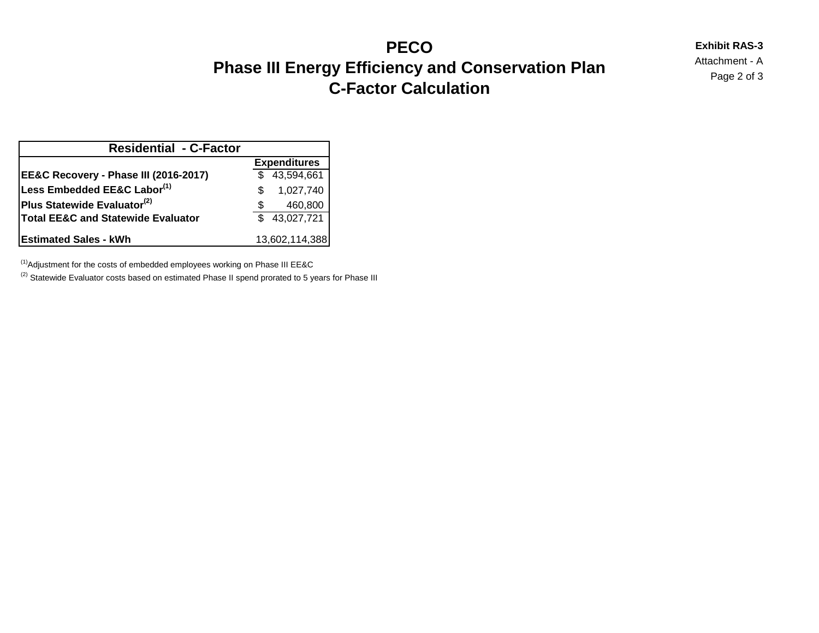# **PECO** Exhibit RAS-3<br> **Exhibit RAS-3**<br>
Attachment - A **Phase III Energy Efficiency and Conservation Plan Phase III Energy Efficiency and Conservation Plan** Plan **C-Factor Calculation**

| <b>Residential - C-Factor</b>                 |     |                     |  |  |  |  |
|-----------------------------------------------|-----|---------------------|--|--|--|--|
|                                               |     | <b>Expenditures</b> |  |  |  |  |
| EE&C Recovery - Phase III (2016-2017)         |     | \$43,594,661        |  |  |  |  |
| Less Embedded EE&C Labor <sup>(1)</sup>       | \$. | 1,027,740           |  |  |  |  |
| Plus Statewide Evaluator <sup>(2)</sup>       |     | 460,800             |  |  |  |  |
| <b>Total EE&amp;C and Statewide Evaluator</b> |     | \$43,027,721        |  |  |  |  |
| <b>Estimated Sales - kWh</b>                  |     | 13,602,114,388      |  |  |  |  |

 $<sup>(1)</sup>$ Adjustment for the costs of embedded employees working on Phase III EE&C</sup>

<sup>(2)</sup> Statewide Evaluator costs based on estimated Phase II spend prorated to 5 years for Phase III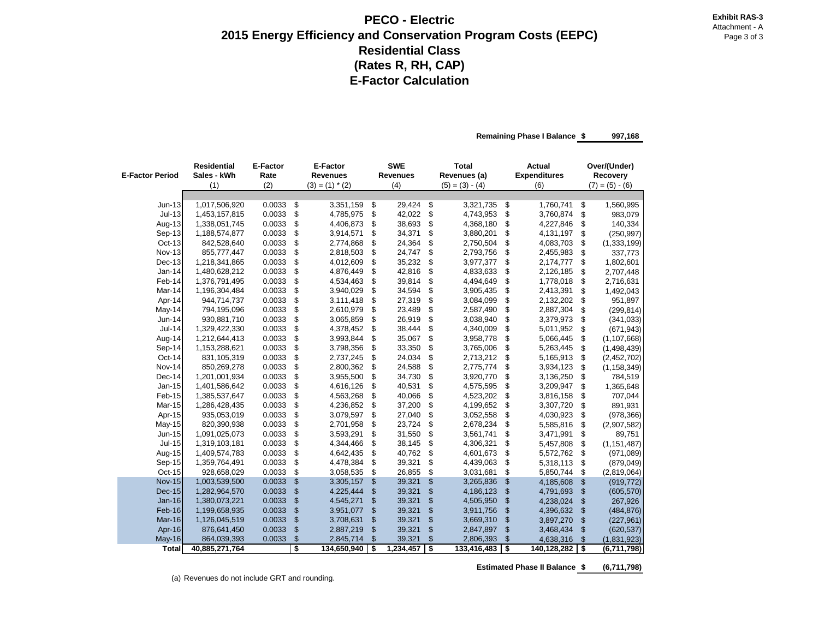#### **PECO - Electric Attachment - Attachment - Attachment - Attachment - Attachment - Attachment - Attachment - Attachment - Attachment - Attachment - Attachment - Attachment - Attachment - Attachment - Attachment - Attachme 2015 Energy Efficiency and Conservation Program Costs (EEPC) Page 3 of 3** Page 3 of 3 **Residential Class (Rates R, RH, CAP) E-Factor Calculation**

**Remaining Phase I Balance \$ 997,168** 

| <b>E-Factor Period</b> | <b>Residential</b><br>Sales - kWh | <b>E-Factor</b><br>Rate |                | <b>E-Factor</b><br><b>Revenues</b> |                | <b>SWE</b><br><b>Revenues</b> | <b>Total</b><br>Revenues (a) | <b>Actual</b><br><b>Expenditures</b> | Over/(Under)<br>Recovery |
|------------------------|-----------------------------------|-------------------------|----------------|------------------------------------|----------------|-------------------------------|------------------------------|--------------------------------------|--------------------------|
|                        | (1)                               | (2)                     |                | $(3) = (1) * (2)$                  |                | (4)                           | $(5) = (3) - (4)$            | (6)                                  | $(7) = (5) - (6)$        |
|                        |                                   |                         |                |                                    |                |                               |                              |                                      |                          |
| $Jun-13$               | 1,017,506,920                     | 0.0033                  | \$             | 3,351,159                          | \$             | 29,424                        | \$<br>3,321,735              | \$<br>1,760,741                      | \$<br>1,560,995          |
| $Jul-13$               | 1,453,157,815                     | 0.0033                  | \$             | 4,785,975                          | \$             | 42,022                        | \$<br>4,743,953              | \$<br>3,760,874                      | \$<br>983,079            |
| Aug-13                 | 1,338,051,745                     | 0.0033                  | \$             | 4,406,873                          | \$             | 38,693                        | \$<br>4,368,180              | \$<br>4,227,846                      | \$<br>140,334            |
| Sep-13                 | 1,188,574,877                     | 0.0033                  | \$             | 3,914,571                          | \$             | 34,371                        | \$<br>3,880,201              | \$<br>4,131,197                      | \$<br>(250, 997)         |
| Oct-13                 | 842,528,640                       | 0.0033                  | \$             | 2,774,868                          | \$             | 24,364                        | \$<br>2,750,504              | \$<br>4,083,703                      | \$<br>(1,333,199)        |
| <b>Nov-13</b>          | 855,777,447                       | 0.0033                  | \$             | 2,818,503                          | \$             | 24,747                        | \$<br>2,793,756              | \$<br>2,455,983                      | \$<br>337,773            |
| Dec-13                 | 1,218,341,865                     | 0.0033                  | \$             | 4,012,609                          | \$             | 35,232                        | \$<br>3,977,377              | \$<br>2,174,777                      | \$<br>1,802,601          |
| $Jan-14$               | 1,480,628,212                     | 0.0033                  | \$             | 4,876,449                          | \$             | 42,816                        | \$<br>4,833,633              | \$<br>2,126,185                      | \$<br>2,707,448          |
| Feb-14                 | 1,376,791,495                     | 0.0033                  | \$             | 4,534,463                          | \$             | 39,814                        | \$<br>4,494,649              | \$<br>1,778,018                      | \$<br>2,716,631          |
| Mar-14                 | 1,196,304,484                     | 0.0033                  | \$             | 3,940,029                          | \$             | 34,594                        | \$<br>3,905,435              | \$<br>2,413,391                      | \$<br>1,492,043          |
| Apr-14                 | 944,714,737                       | 0.0033                  | \$             | 3,111,418                          | \$             | 27,319                        | \$<br>3,084,099              | \$<br>2,132,202                      | \$<br>951,897            |
| May-14                 | 794,195,096                       | 0.0033                  | \$             | 2,610,979                          | \$             | 23,489                        | \$<br>2,587,490              | \$<br>2,887,304                      | \$<br>(299, 814)         |
| Jun-14                 | 930,881,710                       | 0.0033                  | \$             | 3,065,859                          | \$             | 26,919                        | \$<br>3,038,940              | \$<br>3,379,973                      | \$<br>(341, 033)         |
| Jul-14                 | 1,329,422,330                     | 0.0033                  | \$             | 4,378,452                          | \$             | 38,444                        | \$<br>4,340,009              | \$<br>5,011,952                      | \$<br>(671, 943)         |
| Aug-14                 | 1,212,644,413                     | 0.0033                  | \$             | 3,993,844                          | \$             | 35,067                        | \$<br>3,958,778              | \$<br>5,066,445                      | \$<br>(1, 107, 668)      |
| Sep-14                 | 1,153,288,621                     | 0.0033                  | \$             | 3,798,356                          | \$             | 33,350                        | \$<br>3,765,006              | \$<br>5,263,445                      | \$<br>(1,498,439)        |
| Oct-14                 | 831,105,319                       | 0.0033                  | \$             | 2,737,245                          | \$             | 24,034                        | \$<br>2,713,212              | \$<br>5,165,913                      | \$<br>(2,452,702)        |
| Nov-14                 | 850,269,278                       | 0.0033                  | \$             | 2,800,362                          | \$             | 24,588                        | \$<br>2,775,774              | \$<br>3,934,123                      | \$<br>(1, 158, 349)      |
| Dec-14                 | 1,201,001,934                     | 0.0033                  | \$             | 3,955,500                          | \$             | 34,730                        | \$<br>3,920,770              | \$<br>3,136,250                      | \$<br>784,519            |
| $Jan-15$               | 1,401,586,642                     | 0.0033                  | \$             | 4,616,126                          | \$             | 40,531                        | \$<br>4,575,595              | \$<br>3,209,947                      | \$<br>1,365,648          |
| Feb-15                 | 1,385,537,647                     | 0.0033                  | \$             | 4,563,268                          | \$             | 40,066                        | \$<br>4,523,202              | \$<br>3,816,158                      | \$<br>707,044            |
| Mar-15                 | 1,286,428,435                     | 0.0033                  | \$             | 4,236,852                          | \$             | 37,200                        | \$<br>4,199,652              | \$<br>3,307,720                      | \$<br>891,931            |
| Apr-15                 | 935,053,019                       | 0.0033                  | \$             | 3,079,597                          | \$             | 27,040                        | \$<br>3,052,558              | \$<br>4,030,923                      | \$<br>(978, 366)         |
| May-15                 | 820,390,938                       | 0.0033                  | \$             | 2,701,958                          | \$             | 23,724                        | \$<br>2,678,234              | \$<br>5,585,816                      | \$<br>(2,907,582)        |
| Jun-15                 | 1,091,025,073                     | 0.0033                  | \$             | 3,593,291                          | \$             | 31,550                        | \$<br>3,561,741              | \$<br>3,471,991                      | \$<br>89,751             |
| <b>Jul-15</b>          | 1,319,103,181                     | 0.0033                  | \$             | 4,344,466                          | \$             | 38,145                        | \$<br>4,306,321              | \$<br>5,457,808                      | \$<br>(1, 151, 487)      |
| Aug-15                 | 1,409,574,783                     | 0.0033                  | \$             | 4,642,435                          | \$             | 40,762                        | \$<br>4,601,673              | \$<br>5,572,762                      | \$<br>(971,089)          |
| Sep-15                 | 1,359,764,491                     | 0.0033                  | \$             | 4,478,384                          | \$             | 39,321                        | \$<br>4,439,063              | \$<br>5,318,113                      | \$<br>(879, 049)         |
| Oct-15                 | 928,658,029                       | 0.0033                  | \$             | 3,058,535                          | \$             | 26,855                        | \$<br>3,031,681              | \$<br>5,850,744                      | \$<br>(2,819,064)        |
| <b>Nov-15</b>          | 1,003,539,500                     | 0.0033                  | $\mathfrak{s}$ | 3,305,157                          | $\mathfrak{S}$ | 39,321                        | \$<br>3,265,836              | \$<br>4,185,608                      | \$<br>(919, 772)         |
| <b>Dec-15</b>          | 1,282,964,570                     | 0.0033                  | \$             | 4,225,444                          | \$             | 39,321                        | \$<br>4,186,123              | \$<br>4,791,693                      | \$<br>(605, 570)         |
| <b>Jan-16</b>          | 1,380,073,221                     | 0.0033                  | \$             | 4,545,271                          | \$             | 39,321                        | \$<br>4,505,950              | \$<br>4,238,024                      | \$<br>267,926            |
| Feb-16                 | 1,199,658,935                     | 0.0033                  | \$             | 3,951,077                          | $\mathfrak{s}$ | 39,321                        | \$<br>3,911,756              | \$<br>4,396,632                      | \$<br>(484, 876)         |
| Mar-16                 | 1,126,045,519                     | 0.0033                  | \$             | 3,708,631                          | \$             | 39,321                        | \$<br>3,669,310              | \$<br>3,897,270                      | \$<br>(227, 961)         |
| Apr-16                 | 876,641,450                       | 0.0033                  | \$             | 2,887,219                          | \$             | 39,321                        | \$<br>2,847,897              | \$<br>3,468,434                      | \$<br>(620, 537)         |
| <b>May-16</b>          | 864,039,393                       | 0.0033                  | \$             | 2,845,714                          | \$             | 39,321                        | \$<br>2,806,393              | \$<br>4,638,316                      | \$<br>(1,831,923)        |
| <b>Total</b>           | 40,885,271,764                    |                         | \$             | 134,650,940                        | \$             | 1,234,457                     | \$<br>133,416,483            | \$<br>140,128,282                    | \$<br>(6,711,798)        |

**Estimated Phase II Balance \$ (6,711,798)**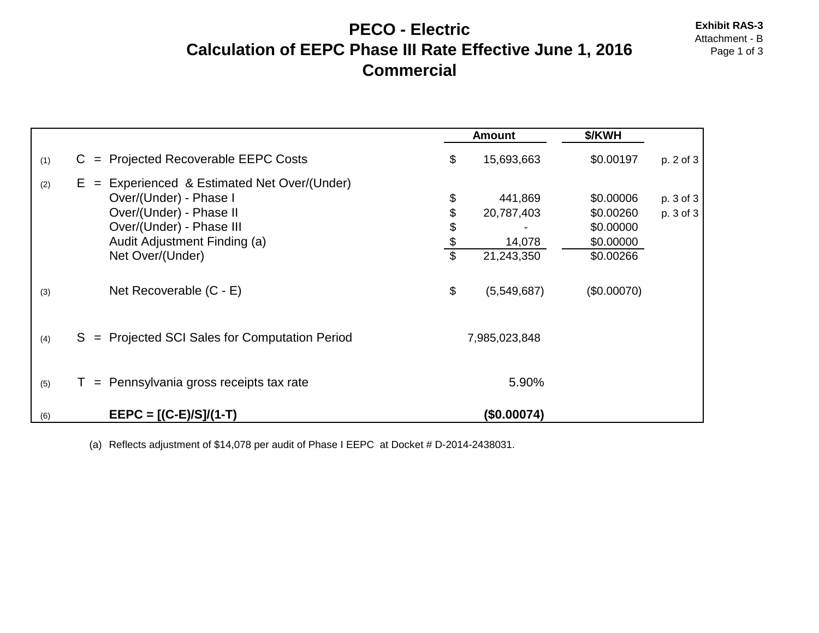#### **PECO - Electric** Exhibit RAS-3<br>Attachment - B **Calculation of EEPC Phase III Rate Effective June 1, 2016** Page 1 of 3 **Commercial**

|     |                                                                                                                                                                                        |                               | <b>Amount</b>                                 | \$/KWH                                                        |                        |
|-----|----------------------------------------------------------------------------------------------------------------------------------------------------------------------------------------|-------------------------------|-----------------------------------------------|---------------------------------------------------------------|------------------------|
| (1) | <b>Projected Recoverable EEPC Costs</b><br>C.<br>$=$                                                                                                                                   | \$                            | 15,693,663                                    | \$0.00197                                                     | p. 2 of 3              |
| (2) | Experienced & Estimated Net Over/(Under)<br>$E =$<br>Over/(Under) - Phase I<br>Over/(Under) - Phase II<br>Over/(Under) - Phase III<br>Audit Adjustment Finding (a)<br>Net Over/(Under) | \$<br>\$<br>\$<br>$rac{6}{3}$ | 441,869<br>20,787,403<br>14,078<br>21,243,350 | \$0.00006<br>\$0.00260<br>\$0.00000<br>\$0.00000<br>\$0.00266 | p. 3 of 3<br>p. 3 of 3 |
| (3) | Net Recoverable (C - E)                                                                                                                                                                | \$                            | (5,549,687)                                   | (\$0.00070)                                                   |                        |
| (4) | S = Projected SCI Sales for Computation Period                                                                                                                                         |                               | 7,985,023,848                                 |                                                               |                        |
| (5) | Pennsylvania gross receipts tax rate<br>$=$                                                                                                                                            |                               | 5.90%                                         |                                                               |                        |
| (6) | $EEPC = [(C-E)/S]/(1-T)$                                                                                                                                                               |                               | (\$0.00074)                                   |                                                               |                        |

(a) Reflects adjustment of \$14,078 per audit of Phase I EEPC at Docket # D-2014-2438031.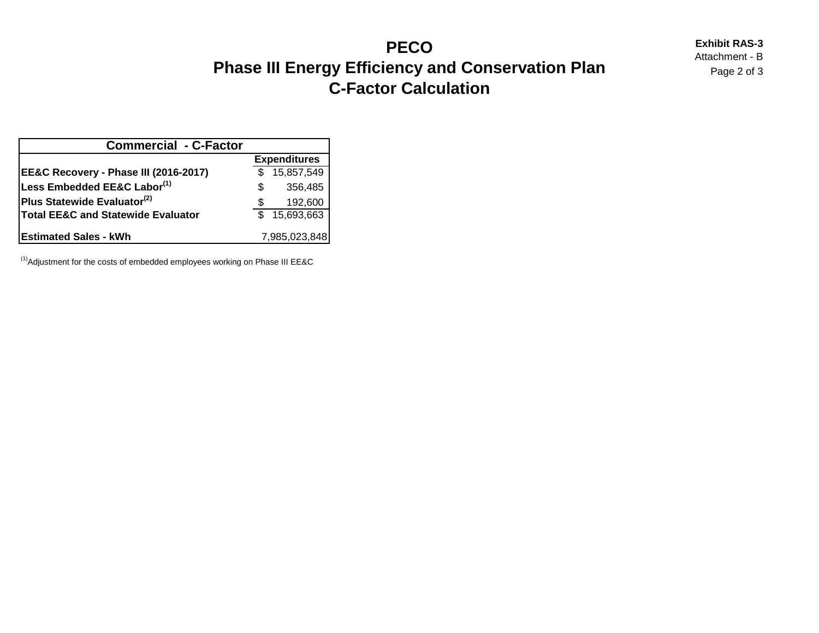## **PECO** Exhibit RAS-3<br>Attachment - B **Phase III Energy Efficiency and Conservation Plan** *Page 2 of 3* **C-Factor Calculation**

| <b>Commercial - C-Factor</b>                  |   |                     |
|-----------------------------------------------|---|---------------------|
|                                               |   | <b>Expenditures</b> |
| EE&C Recovery - Phase III (2016-2017)         |   | 15,857,549          |
| Less Embedded EE&C Labor(1)                   | S | 356,485             |
| Plus Statewide Evaluator <sup>(2)</sup>       |   | 192,600             |
| <b>Total EE&amp;C and Statewide Evaluator</b> |   | 15,693,663          |
| <b>IEstimated Sales - kWh</b>                 |   | 7,985,023,848       |

 $<sup>(1)</sup>$ Adjustment for the costs of embedded employees working on Phase III EE&C</sup>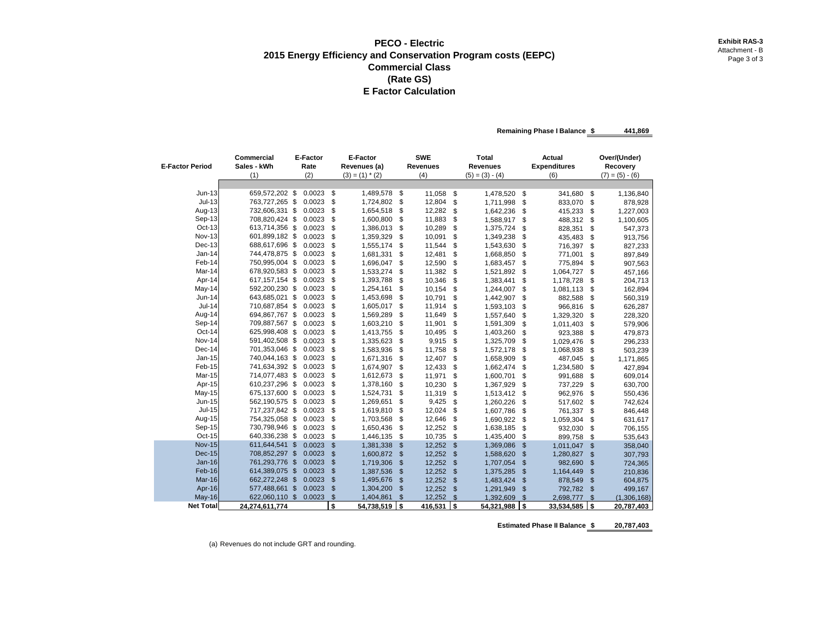#### **PECO - Electric** Exhibit RAS-3 **Exhibit RAS-3 Exhibit RAS-3 Exhibit RAS-3** Attachment - B **2015 Energy Efficiency and Conservation Program costs (EEPC)** Attachment - B **Page 3 of 3 Commercial Class (Rate GS) E Factor Calculation**

**Remaining Phase I Balance \$ 441,869** 

| <b>E-Factor Period</b> | Commercial<br>Sales - kWh        | <b>E-Factor</b><br>Rate |                                | <b>SWE</b><br><b>E-Factor</b><br>Revenues (a)<br><b>Revenues</b> |                     |                  |                                 | Total<br><b>Revenues</b> |          | <b>Actual</b><br><b>Expenditures</b> |                      | Over/(Under)<br>Recovery  |  |  |
|------------------------|----------------------------------|-------------------------|--------------------------------|------------------------------------------------------------------|---------------------|------------------|---------------------------------|--------------------------|----------|--------------------------------------|----------------------|---------------------------|--|--|
|                        | (1)                              | (2)                     |                                | $(3) = (1) * (2)$                                                |                     | (4)              |                                 | $(5) = (3) - (4)$        |          | (6)                                  |                      | $(7) = (5) - (6)$         |  |  |
|                        |                                  |                         |                                |                                                                  |                     |                  |                                 |                          |          |                                      |                      |                           |  |  |
| $Jun-13$               | 659,572,202 \$                   | 0.0023                  | \$                             | 1,489,578                                                        | \$                  | 11,058           | \$                              | 1,478,520                | \$       | 341,680                              | \$                   | 1,136,840                 |  |  |
| $Jul-13$               | 763,727,265 \$                   | 0.0023                  | \$                             | 1,724,802                                                        | \$                  | 12,804           | \$                              | 1,711,998                | \$       | 833,070                              | \$                   | 878,928                   |  |  |
| Aug-13                 | 732,606,331 \$                   | 0.0023                  | \$                             | 1,654,518                                                        | \$                  | 12,282           | \$                              | 1,642,236                | \$       | 415,233                              | \$                   | 1,227,003                 |  |  |
| Sep-13                 | 708,820,424 \$                   | 0.0023                  | \$                             | 1,600,800                                                        | \$                  | 11,883           | \$                              | 1,588,917                | \$       | 488,312                              | \$                   | 1,100,605                 |  |  |
| Oct-13                 | 613,714,356 \$                   | 0.0023                  | \$                             | 1,386,013                                                        | \$                  | 10,289           | \$                              | 1,375,724                | \$       | 828,351                              | \$                   | 547,373                   |  |  |
| <b>Nov-13</b>          | 601,899,182 \$                   | 0.0023                  | \$                             | 1,359,329                                                        | \$                  | 10,091           | \$                              | 1,349,238                | \$       | 435,483                              | \$                   | 913,756                   |  |  |
| $Dec-13$               | 688,617,696 \$                   | 0.0023                  | \$                             | 1,555,174                                                        | \$                  | 11,544           | \$                              | 1,543,630                | \$       | 716,397                              | \$                   | 827,233                   |  |  |
| Jan-14                 | 744,478,875 \$                   | 0.0023                  | \$                             | 1,681,331                                                        | \$                  | 12,481           | \$                              | 1,668,850                | \$       | 771,001                              | \$                   | 897,849                   |  |  |
| Feb-14                 | 750,995,004 \$                   | 0.0023                  | \$                             | 1,696,047                                                        | \$                  | 12,590           | \$                              | 1,683,457                | \$       | 775,894                              | \$                   | 907,563                   |  |  |
| Mar-14                 | 678,920,583 \$                   | 0.0023                  | \$                             | 1,533,274                                                        | \$                  | 11,382           | \$                              | 1,521,892                | \$       | 1,064,727                            | \$                   | 457,166                   |  |  |
| Apr-14                 | 617, 157, 154 \$                 | 0.0023                  | \$                             | 1,393,788                                                        | \$                  | 10,346           | \$                              | 1,383,441                | \$       | 1,178,728                            | \$                   | 204,713                   |  |  |
| May-14                 | 592,200,230 \$                   | 0.0023                  | \$                             | 1,254,161                                                        | \$                  | 10,154           | \$                              | 1,244,007                | \$       | 1,081,113                            | \$                   | 162,894                   |  |  |
| Jun-14                 | 643,685,021 \$                   | 0.0023                  | \$                             | 1,453,698                                                        | \$                  | 10,791           | \$                              | 1,442,907                | \$       | 882,588                              | \$                   | 560,319                   |  |  |
| $Jul-14$               | 710,687,854 \$                   | 0.0023                  | \$                             | 1,605,017                                                        | \$                  | 11,914           | \$                              | 1,593,103                | \$       | 966,816                              | \$                   | 626,287                   |  |  |
| Aug-14                 | 694,867,767 \$                   | 0.0023                  | \$                             | 1,569,289                                                        | \$                  | 11,649           | \$                              | 1,557,640                | \$       | 1,329,320                            | \$                   | 228,320                   |  |  |
| Sep-14                 | 709,887,567 \$                   | 0.0023                  | \$                             | 1,603,210                                                        | \$                  | 11,901           | \$                              | 1,591,309                | \$       | 1,011,403                            | \$                   | 579,906                   |  |  |
| Oct-14                 | 625,998,408 \$                   | 0.0023                  | \$                             | 1,413,755                                                        | \$                  | 10,495           | \$                              | 1,403,260                | \$       | 923,388                              | \$                   | 479,873                   |  |  |
| Nov-14                 | 591,402,508 \$                   | 0.0023                  | \$                             | 1,335,623                                                        | \$                  | 9,915            | \$                              | 1,325,709                | \$       | 1,029,476                            | \$                   | 296,233                   |  |  |
| Dec-14                 | 701,353,046 \$                   | 0.0023                  | \$                             | 1,583,936                                                        | \$                  | 11,758           | \$                              | 1,572,178                | \$       | 1,068,938                            | \$                   | 503,239                   |  |  |
| Jan-15<br>Feb-15       | 740,044,163 \$                   | 0.0023<br>0.0023        | \$                             | 1,671,316                                                        | \$                  | 12,407           | \$                              | 1,658,909                | \$       | 487,045                              | \$                   | 1,171,865                 |  |  |
| Mar-15                 | 741,634,392 \$                   | 0.0023                  | \$                             | 1,674,907                                                        | \$                  | 12,433           | \$                              | 1,662,474                | \$       | 1,234,580                            | \$                   | 427,894                   |  |  |
|                        | 714,077,483 \$                   |                         | \$                             | 1,612,673                                                        | \$                  | 11,971           | \$                              | 1,600,701                | \$       | 991,688                              | \$                   | 609,014                   |  |  |
| Apr-15                 | 610,237,296 \$                   | 0.0023                  | \$                             | 1,378,160                                                        | \$                  | 10,230           | \$                              | 1,367,929                | \$       | 737,229                              | \$                   | 630,700                   |  |  |
| May-15<br>Jun-15       | 675,137,600 \$                   | 0.0023                  | \$                             | 1,524,731                                                        | \$                  | 11,319           | \$                              | 1,513,412                | \$       | 962,976                              | \$                   | 550,436                   |  |  |
| $Jul-15$               | 562,190,575 \$                   | 0.0023<br>0.0023        | \$                             | 1,269,651                                                        | \$                  | 9,425            | \$                              | 1,260,226                | \$       | 517,602                              | \$                   | 742,624                   |  |  |
|                        | 717,237,842 \$<br>754,325,058 \$ | 0.0023                  | \$<br>\$                       | 1,619,810                                                        | \$                  | 12,024           | \$                              | 1,607,786                | \$       | 761,337                              | \$                   | 846,448                   |  |  |
| Aug-15<br>Sep-15       | 730,798,946 \$                   | 0.0023                  | \$                             | 1,703,568                                                        | \$                  | 12,646           | \$                              | 1,690,922                | \$       | 1,059,304                            | \$                   | 631,617                   |  |  |
| Oct-15                 | 640,336,238 \$                   | 0.0023                  | \$                             | 1,650,436                                                        | \$                  | 12,252           | \$                              | 1,638,185                | \$       | 932,030                              | \$                   | 706,155                   |  |  |
| <b>Nov-15</b>          | 611,644,541 \$                   | 0.0023                  |                                | 1,446,135                                                        | \$                  | 10,735           | \$                              | 1,435,400                | \$       | 899,758                              | \$                   | 535,643                   |  |  |
| <b>Dec-15</b>          | 708,852,297 \$                   | 0.0023                  | $\frac{1}{2}$<br>$\mathsf{\$}$ | 1,381,338                                                        | $\frac{1}{2}$       | 12,252 \$        |                                 | 1,369,086                | \$       | 1,011,047                            | \$                   | 358,040                   |  |  |
| $Jan-16$               | 761,293,776 \$                   | 0.0023                  | $\mathsf{\$}$                  | 1,600,872                                                        | $\mathsf{\$}$       | 12,252           | $\sqrt{3}$<br>$\sqrt{3}$        | 1,588,620                | \$       | 1,280,827                            | $\mathcal{S}$        | 307,793                   |  |  |
| Feb-16                 |                                  | 0.0023                  |                                | 1,719,306                                                        | $\mathsf{\$}$       | 12,252           |                                 | 1,707,054                | \$       | 982,690                              | \$                   | 724,365                   |  |  |
| Mar-16                 | 614,389,075 \$<br>662,272,248 \$ | 0.0023                  | $\mathsf{\$}$<br>$\frac{1}{2}$ | 1,387,536                                                        | $\frac{1}{2}$       | 12,252<br>12,252 | $\sqrt{3}$<br>$\sqrt{3}$        | 1,375,285                | \$       | 1,164,449                            | \$                   | 210,836                   |  |  |
| Apr-16                 | 577,488,661 \$                   | 0.0023                  | \$                             | 1,495,676                                                        | \$<br>$\mathsf{\$}$ |                  |                                 | 1,483,424                | \$       | 878,549                              | $\mathcal{S}$        | 604,875                   |  |  |
| May-16                 | 622,060,110 \$                   | 0.0023                  | $\mathsf{\$}$                  | 1,304,200<br>1,404,861                                           | $\mathbb{S}$        | 12,252<br>12,252 | $\frac{1}{2}$<br>$\mathfrak{s}$ | 1,291,949<br>1,392,609   | \$<br>\$ | 792,782                              | $\frac{3}{2}$        | 499,167                   |  |  |
| <b>Net Total</b>       | 24,274,611,774                   |                         | \$                             | 54,738,519                                                       | l s                 | $416,531$ \$     |                                 | 54,321,988               | \$       | 2,698,777<br>33,534,585              | $\mathfrak{s}$<br>\$ | (1,306,168)<br>20,787,403 |  |  |

**Estimated Phase II Balance \$ 20,787,403**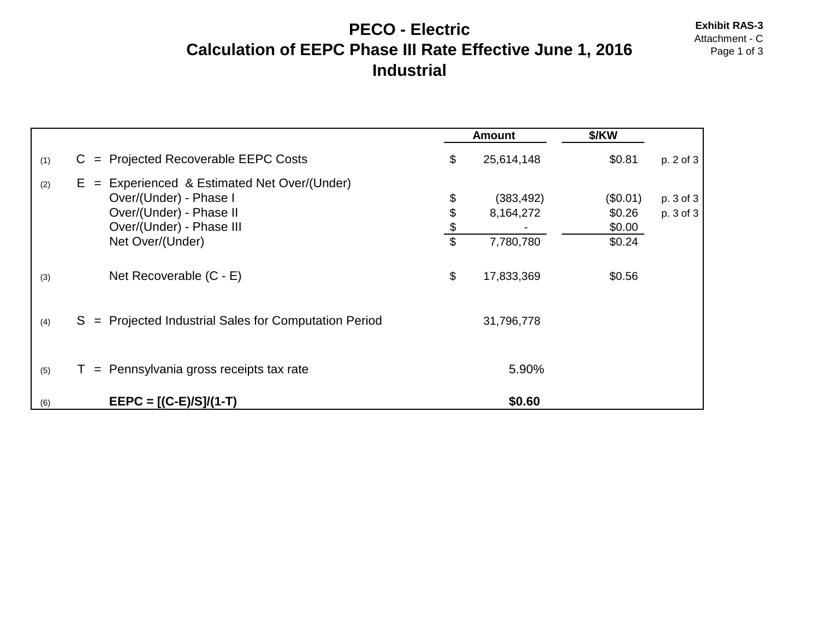# **PECO - Electric** Exhibit RAS-3<br>Attachment - C **Calculation of EEPC Phase III Rate Effective June 1, 2016** Page 1 of 3 **Industrial**

|     |                                                                                                                                                     |                                            | <b>Amount</b>                        | \$/KW                                  |                        |
|-----|-----------------------------------------------------------------------------------------------------------------------------------------------------|--------------------------------------------|--------------------------------------|----------------------------------------|------------------------|
| (1) | $=$ Projected Recoverable EEPC Costs<br>C.                                                                                                          | \$                                         | 25,614,148                           | \$0.81                                 | p. 2 of 3              |
| (2) | $E =$ Experienced & Estimated Net Over/(Under)<br>Over/(Under) - Phase I<br>Over/(Under) - Phase II<br>Over/(Under) - Phase III<br>Net Over/(Under) | \$<br>\$<br>$\frac{1}{2}$<br>$\mathsf{\$}$ | (383, 492)<br>8,164,272<br>7,780,780 | (\$0.01)<br>\$0.26<br>\$0.00<br>\$0.24 | p. 3 of 3<br>p. 3 of 3 |
| (3) | Net Recoverable (C - E)                                                                                                                             | \$                                         | 17,833,369                           | \$0.56                                 |                        |
| (4) | S = Projected Industrial Sales for Computation Period                                                                                               |                                            | 31,796,778                           |                                        |                        |
| (5) | $=$ Pennsylvania gross receipts tax rate                                                                                                            |                                            | 5.90%                                |                                        |                        |
| (6) | $EEPC = [(C-E)/S]/(1-T)$                                                                                                                            |                                            | \$0.60                               |                                        |                        |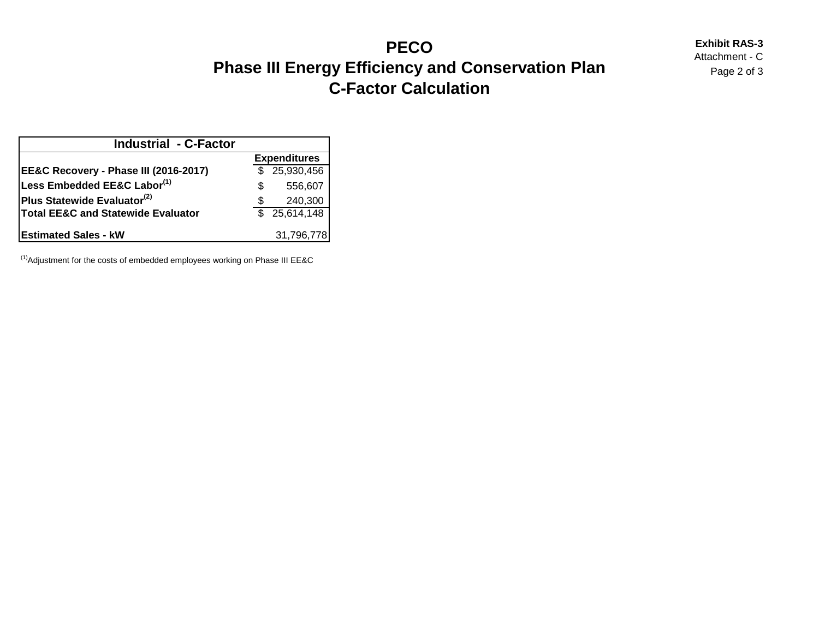## **PECO** Exhibit RAS-3<br>Attachment - C **Phase III Energy Efficiency and Conservation Plan** *Page 2 of 3* **C-Factor Calculation**

| <b>Industrial - C-Factor</b>                  |                     |              |  |  |  |  |
|-----------------------------------------------|---------------------|--------------|--|--|--|--|
|                                               | <b>Expenditures</b> |              |  |  |  |  |
| EE&C Recovery - Phase III (2016-2017)         |                     | \$25,930,456 |  |  |  |  |
| Less Embedded EE&C Labor(1)                   | S                   | 556,607      |  |  |  |  |
| Plus Statewide Evaluator <sup>(2)</sup>       | S                   | 240,300      |  |  |  |  |
| <b>Total EE&amp;C and Statewide Evaluator</b> |                     | \$25,614,148 |  |  |  |  |
| <b>Estimated Sales - kW</b>                   |                     | 31,796,778   |  |  |  |  |

 $<sup>(1)</sup>$ Adjustment for the costs of embedded employees working on Phase III EE&C</sup>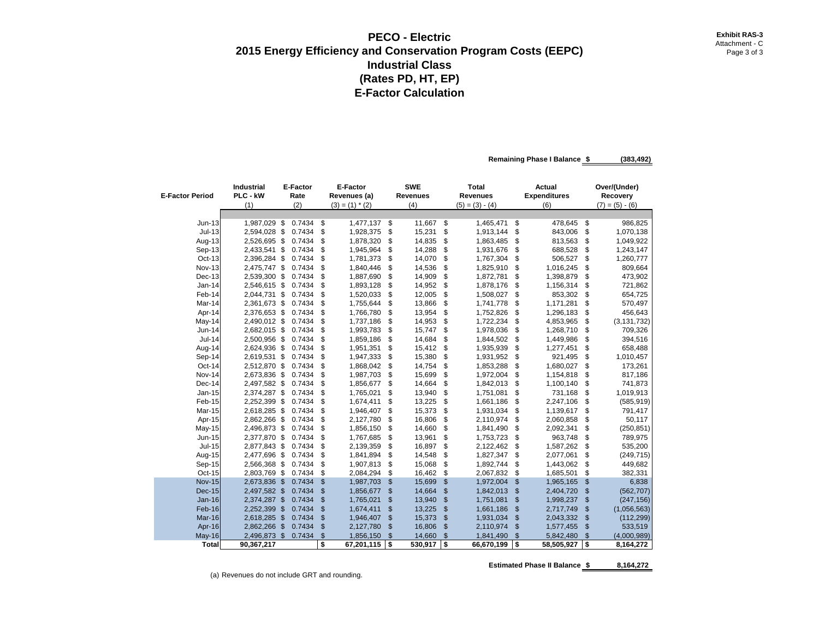#### **PECO - Electric** Exhibit RAS-3 **Exhibit RAS-3 2015 Energy Efficiency and Conservation Program Costs (EEPC) Page 3 of 3** Page 3 of 3 **Industrial Class (Rates PD, HT, EP) E-Factor Calculation**

**Remaining Phase I Balance \$ (383,492)** 

| <b>E-Factor Period</b> | <b>Industrial</b><br>PLC - kW<br>(1) | E-Factor<br>Rate<br>(2) |        | E-Factor<br>Revenues (a)<br>$(3) = (1) * (2)$ |            | <b>SWE</b><br>Revenues<br>(4) |    | <b>Total</b><br><b>Revenues</b><br>$(5) = (3) - (4)$ |     | <b>Actual</b><br><b>Expenditures</b><br>(6) |                | Over/(Under)<br>Recovery<br>$(7) = (5) - (6)$ |
|------------------------|--------------------------------------|-------------------------|--------|-----------------------------------------------|------------|-------------------------------|----|------------------------------------------------------|-----|---------------------------------------------|----------------|-----------------------------------------------|
|                        |                                      |                         |        |                                               |            |                               |    |                                                      |     |                                             |                |                                               |
| $Jun-13$               | 1,987,029 \$                         |                         | 0.7434 | \$                                            | 1,477,137  | \$<br>11,667                  | \$ | 1,465,471                                            | \$  | 478,645                                     | \$             | 986,825                                       |
| $Jul-13$               | 2,594,028 \$                         |                         | 0.7434 | \$                                            | 1,928,375  | \$<br>15,231                  | \$ | 1,913,144                                            | \$  | 843,006                                     | \$             | 1,070,138                                     |
| Aug-13                 | 2,526,695 \$                         |                         | 0.7434 | \$                                            | 1,878,320  | \$<br>14,835                  | \$ | 1,863,485                                            | \$  | 813,563                                     | \$             | 1,049,922                                     |
| Sep-13                 | 2,433,541 \$                         |                         | 0.7434 | \$                                            | 1,945,964  | \$<br>14,288                  | \$ | 1,931,676                                            | \$  | 688,528                                     | \$             | 1,243,147                                     |
| Oct-13                 | 2,396,284 \$                         |                         | 0.7434 | \$                                            | 1,781,373  | \$<br>14,070                  | \$ | 1,767,304                                            | \$  | 506,527                                     | \$             | 1,260,777                                     |
| <b>Nov-13</b>          | 2,475,747 \$                         |                         | 0.7434 | \$                                            | 1,840,446  | \$<br>14,536                  | \$ | 1,825,910                                            | \$  | 1,016,245                                   | \$             | 809,664                                       |
| Dec-13                 | 2,539,300 \$                         |                         | 0.7434 | \$                                            | 1,887,690  | \$<br>14,909                  | \$ | 1,872,781                                            | \$  | 1,398,879                                   | \$             | 473,902                                       |
| $Jan-14$               | 2,546,615 \$                         |                         | 0.7434 | \$                                            | 1,893,128  | \$<br>14,952                  | \$ | 1,878,176                                            | \$  | 1,156,314                                   | \$             | 721,862                                       |
| Feb-14                 | 2,044,731 \$                         |                         | 0.7434 | \$                                            | 1,520,033  | \$<br>12,005                  | \$ | 1,508,027                                            | \$  | 853,302                                     | \$             | 654,725                                       |
| Mar-14                 | 2,361,673 \$                         |                         | 0.7434 | \$                                            | 1,755,644  | \$<br>13,866                  | \$ | 1,741,778                                            | \$  | 1,171,281                                   | \$             | 570,497                                       |
| Apr-14                 | 2,376,653 \$                         |                         | 0.7434 | \$                                            | 1,766,780  | \$<br>13,954                  | \$ | 1,752,826                                            | \$  | 1,296,183                                   | \$             | 456,643                                       |
| May-14                 | 2,490,012 \$                         |                         | 0.7434 | \$                                            | 1,737,186  | \$<br>14,953                  | \$ | 1,722,234                                            | \$  | 4,853,965                                   | \$             | (3, 131, 732)                                 |
| Jun-14                 | 2,682,015 \$                         |                         | 0.7434 | \$                                            | 1,993,783  | \$<br>15,747                  | \$ | 1,978,036                                            | \$  | 1,268,710                                   | \$             | 709,326                                       |
| <b>Jul-14</b>          | 2,500,956 \$                         |                         | 0.7434 | \$                                            | 1,859,186  | \$<br>14,684                  | \$ | 1,844,502                                            | \$  | 1,449,986                                   | \$             | 394,516                                       |
| Aug-14                 | 2,624,936 \$                         |                         | 0.7434 | \$                                            | 1,951,351  | \$<br>15,412                  | \$ | 1,935,939                                            | \$  | 1,277,451                                   | \$             | 658,488                                       |
| Sep-14                 | 2,619,531 \$                         |                         | 0.7434 | \$                                            | 1,947,333  | \$<br>15,380                  | \$ | 1,931,952                                            | \$  | 921,495                                     | \$             | 1,010,457                                     |
| Oct-14                 | 2,512,870 \$                         |                         | 0.7434 | \$                                            | 1,868,042  | \$<br>14,754                  | \$ | 1,853,288                                            | \$  | 1,680,027                                   | \$             | 173,261                                       |
| Nov-14                 | 2,673,836 \$                         |                         | 0.7434 | \$                                            | 1,987,703  | \$<br>15,699                  | \$ | 1,972,004                                            | \$  | 1,154,818                                   | \$             | 817,186                                       |
| Dec-14                 | 2,497,582 \$                         |                         | 0.7434 | \$                                            | 1,856,677  | \$<br>14,664                  | \$ | 1,842,013                                            | \$  | 1,100,140                                   | \$             | 741,873                                       |
| $Jan-15$               | 2,374,287 \$                         |                         | 0.7434 | \$                                            | 1,765,021  | \$<br>13,940                  | \$ | 1,751,081                                            | \$  | 731,168                                     | \$             | 1,019,913                                     |
| Feb-15                 | 2,252,399 \$                         |                         | 0.7434 | \$                                            | 1,674,411  | \$<br>13,225                  | \$ | 1,661,186                                            | \$  | 2,247,106                                   | \$             | (585, 919)                                    |
| Mar-15                 | 2,618,285 \$                         |                         | 0.7434 | \$                                            | 1,946,407  | \$<br>15,373                  | \$ | 1,931,034                                            | \$  | 1,139,617                                   | \$             | 791,417                                       |
| Apr-15                 | 2,862,266 \$                         |                         | 0.7434 | \$                                            | 2,127,780  | \$<br>16,806                  | \$ | 2,110,974                                            | \$  | 2,060,858                                   | \$             | 50,117                                        |
| May-15                 | 2,496,873 \$                         |                         | 0.7434 | \$                                            | 1,856,150  | \$<br>14,660                  | \$ | 1,841,490                                            | \$  | 2,092,341                                   | \$             | (250, 851)                                    |
| Jun-15                 | 2,377,870 \$                         |                         | 0.7434 | \$                                            | 1,767,685  | \$<br>13,961                  | \$ | 1,753,723                                            | \$  | 963,748                                     | \$             | 789,975                                       |
| $Jul-15$               | 2,877,843 \$                         |                         | 0.7434 | \$                                            | 2,139,359  | \$<br>16,897                  | \$ | 2,122,462                                            | \$  | 1,587,262                                   | \$             | 535,200                                       |
| Aug-15                 | 2,477,696 \$                         |                         | 0.7434 | \$                                            | 1,841,894  | \$<br>14,548                  | \$ | 1,827,347                                            | \$  | 2,077,061                                   | \$             | (249, 715)                                    |
| Sep-15                 | 2,566,368 \$                         |                         | 0.7434 | \$                                            | 1,907,813  | \$<br>15,068                  | \$ | 1,892,744                                            | \$  | 1,443,062                                   | \$             | 449,682                                       |
| Oct-15                 | 2,803,769 \$                         |                         | 0.7434 | \$                                            | 2,084,294  | \$<br>16,462                  | \$ | 2,067,832                                            | \$  | 1,685,501                                   | \$             | 382,331                                       |
| <b>Nov-15</b>          | 2,673,836 \$                         |                         | 0.7434 | \$                                            | 1,987,703  | \$<br>15,699                  | \$ | 1,972,004                                            | \$  | 1,965,165                                   | $\mathfrak{s}$ | 6,838                                         |
| Dec-15                 | 2,497,582 \$                         |                         | 0.7434 | \$                                            | 1,856,677  | \$<br>14,664                  | \$ | 1,842,013                                            | \$  | 2,404,720                                   | $\mathfrak{s}$ | (562, 707)                                    |
| $Jan-16$               | 2,374,287 \$                         |                         | 0.7434 | \$                                            | 1,765,021  | \$<br>13,940                  | \$ | 1,751,081                                            | \$  | 1,998,237                                   | $\mathcal{S}$  | (247, 156)                                    |
| Feb-16                 | 2,252,399 \$                         |                         | 0.7434 | $\mathfrak{s}$                                | 1,674,411  | \$<br>13,225                  | \$ | 1,661,186                                            | \$  | 2,717,749                                   | $\mathbb{S}$   | (1,056,563)                                   |
| Mar-16                 | 2,618,285 \$                         |                         | 0.7434 | \$                                            | 1,946,407  | \$<br>15,373                  | \$ | 1,931,034                                            | \$  | 2,043,332                                   | $\sqrt[6]{3}$  | (112, 299)                                    |
| Apr-16                 | 2,862,266 \$                         |                         | 0.7434 | \$                                            | 2,127,780  | \$<br>16,806                  | \$ | 2,110,974                                            | \$  | 1,577,455                                   | $\mathbb{S}$   | 533,519                                       |
| <b>May-16</b>          | 2,496,873 \$                         |                         | 0.7434 | \$                                            | 1,856,150  | \$<br>14,660                  | \$ | 1,841,490                                            | \$  | 5,842,480                                   | $\mathbb{S}$   | (4,000,989)                                   |
| <b>Total</b>           | 90,367,217                           |                         |        | \$                                            | 67,201,115 | \$<br>530,917                 | S. | 66,670,199                                           | Ts: | 58,505,927                                  | ٦\$            | 8,164,272                                     |

Estimated Phase II Balance **\$ 8,164,272**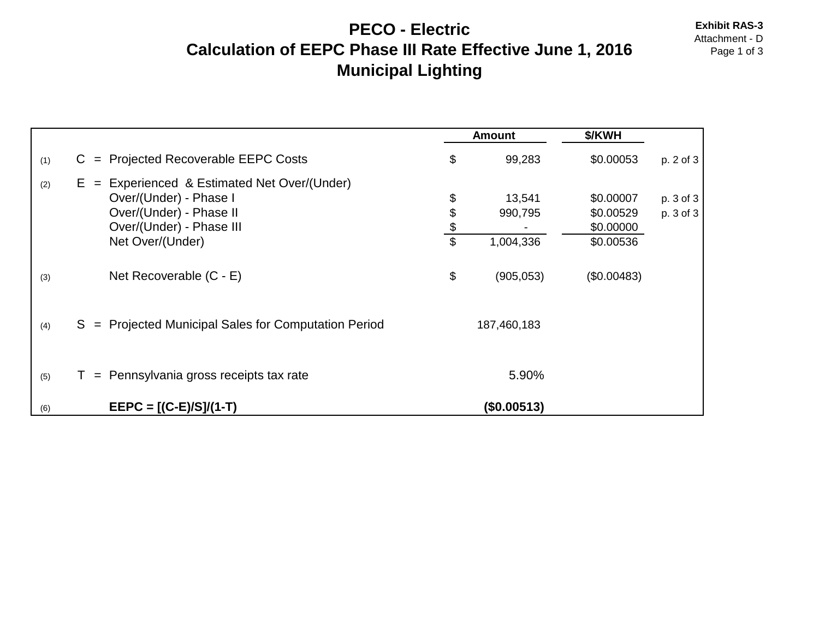# **PECO - Electric** Exhibit RAS-3<br>Attachment - D **Calculation of EEPC Phase III Rate Effective June 1, 2016** Page 1 of 3 **Municipal Lighting**

|     |                                                                                                                                                        |                           | <b>Amount</b>                  | \$/KWH                                           |                        |
|-----|--------------------------------------------------------------------------------------------------------------------------------------------------------|---------------------------|--------------------------------|--------------------------------------------------|------------------------|
| (1) | $=$ Projected Recoverable EEPC Costs<br>C.                                                                                                             | \$                        | 99,283                         | \$0.00053                                        | p. 2 of 3              |
| (2) | Experienced & Estimated Net Over/(Under)<br>$E =$<br>Over/(Under) - Phase I<br>Over/(Under) - Phase II<br>Over/(Under) - Phase III<br>Net Over/(Under) | \$<br>\$<br>$\frac{3}{3}$ | 13,541<br>990,795<br>1,004,336 | \$0.00007<br>\$0.00529<br>\$0.00000<br>\$0.00536 | p. 3 of 3<br>p. 3 of 3 |
| (3) | Net Recoverable (C - E)                                                                                                                                | \$                        | (905, 053)                     | (\$0.00483)                                      |                        |
| (4) | S = Projected Municipal Sales for Computation Period                                                                                                   |                           | 187,460,183                    |                                                  |                        |
| (5) | = Pennsylvania gross receipts tax rate                                                                                                                 |                           | 5.90%                          |                                                  |                        |
| (6) | $EEPC = [(C-E)/S]/(1-T)$                                                                                                                               |                           | (\$0.00513)                    |                                                  |                        |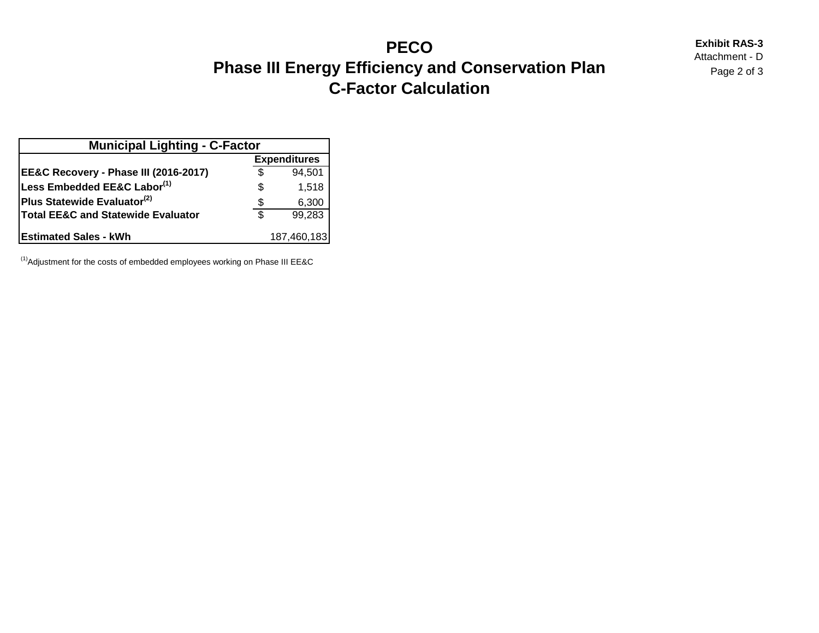## **PECO** Exhibit RAS-3<br>Attachment - D<br>Attachment - D **Phase III Energy Efficiency and Conservation Plan** *Page 2 of 3* **C-Factor Calculation**

| <b>Municipal Lighting - C-Factor</b>    |                     |             |  |  |  |  |  |  |  |  |
|-----------------------------------------|---------------------|-------------|--|--|--|--|--|--|--|--|
|                                         | <b>Expenditures</b> |             |  |  |  |  |  |  |  |  |
| EE&C Recovery - Phase III (2016-2017)   | \$                  | 94,501      |  |  |  |  |  |  |  |  |
| Less Embedded EE&C Labor(1)             | S                   | 1,518       |  |  |  |  |  |  |  |  |
| Plus Statewide Evaluator <sup>(2)</sup> | S                   | 6,300       |  |  |  |  |  |  |  |  |
| Total EE&C and Statewide Evaluator      | \$                  | 99,283      |  |  |  |  |  |  |  |  |
| <b>Estimated Sales - kWh</b>            |                     | 187,460,183 |  |  |  |  |  |  |  |  |

 $<sup>(1)</sup>$ Adjustment for the costs of embedded employees working on Phase III EE&C</sup>